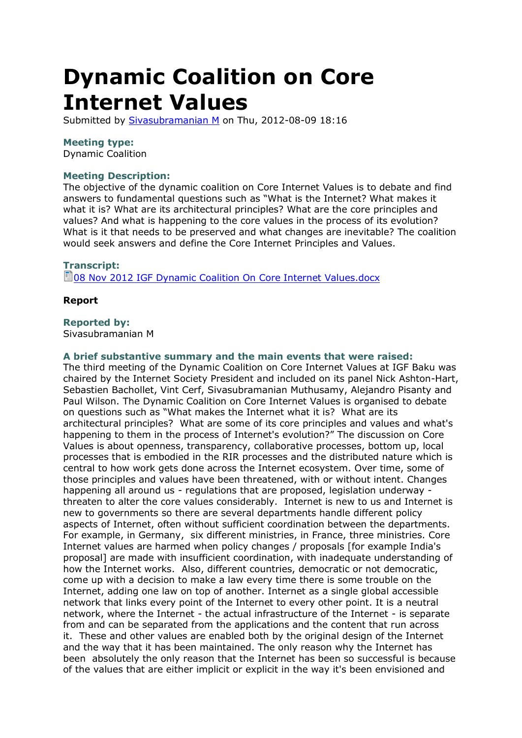# **Dynamic Coalition on Core Internet Values**

Submitted by **[Sivasubramanian M](http://wsms1.intgovforum.org/users/sivasubramanian-m)** on Thu, 2012-08-09 18:16

## **Meeting type:**

Dynamic Coalition

## **Meeting Description:**

The objective of the dynamic coalition on Core Internet Values is to debate and find answers to fundamental questions such as "What is the Internet? What makes it what it is? What are its architectural principles? What are the core principles and values? And what is happening to the core values in the process of its evolution? What is it that needs to be preserved and what changes are inevitable? The coalition would seek answers and define the Core Internet Principles and Values.

## **Transcript:**

**1**[08 Nov 2012 IGF Dynamic Coalition On Core Internet Values.docx](http://wsms1.intgovforum.org/sites/default/files/08%20Nov%202012%20IGF%20Dynamic%20Coalition%20On%20Core%20Internet%20Values.docx)

## **Report**

## **Reported by:**

Sivasubramanian M

#### **A brief substantive summary and the main events that were raised:**

The third meeting of the Dynamic Coalition on Core Internet Values at IGF Baku was chaired by the Internet Society President and included on its panel Nick Ashton-Hart, Sebastien Bachollet, Vint Cerf, Sivasubramanian Muthusamy, Alejandro Pisanty and Paul Wilson. The Dynamic Coalition on Core Internet Values is organised to debate on questions such as "What makes the Internet what it is? What are its architectural principles? What are some of its core principles and values and what's happening to them in the process of Internet's evolution?" The discussion on Core Values is about openness, transparency, collaborative processes, bottom up, local processes that is embodied in the RIR processes and the distributed nature which is central to how work gets done across the Internet ecosystem. Over time, some of those principles and values have been threatened, with or without intent. Changes happening all around us - regulations that are proposed, legislation underway threaten to alter the core values considerably. Internet is new to us and Internet is new to governments so there are several departments handle different policy aspects of Internet, often without sufficient coordination between the departments. For example, in Germany, six different ministries, in France, three ministries. Core Internet values are harmed when policy changes / proposals [for example India's proposal] are made with insufficient coordination, with inadequate understanding of how the Internet works. Also, different countries, democratic or not democratic, come up with a decision to make a law every time there is some trouble on the Internet, adding one law on top of another. Internet as a single global accessible network that links every point of the Internet to every other point. It is a neutral network, where the Internet - the actual infrastructure of the Internet - is separate from and can be separated from the applications and the content that run across it. These and other values are enabled both by the original design of the Internet and the way that it has been maintained. The only reason why the Internet has been absolutely the only reason that the Internet has been so successful is because of the values that are either implicit or explicit in the way it's been envisioned and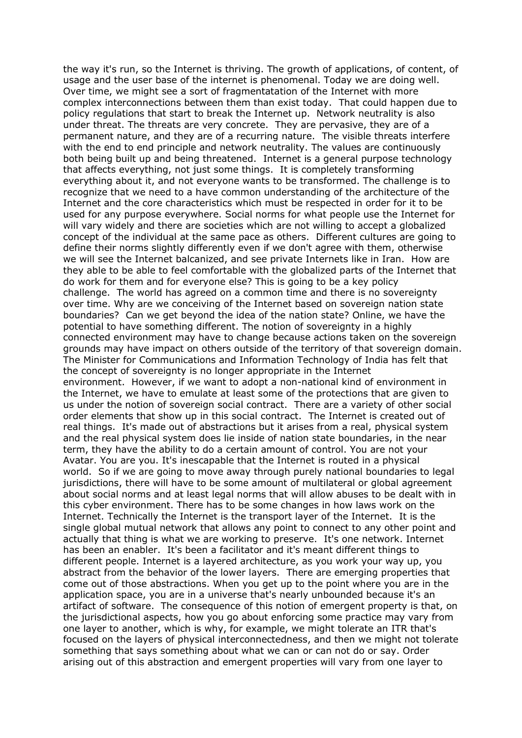the way it's run, so the Internet is thriving. The growth of applications, of content, of usage and the user base of the internet is phenomenal. Today we are doing well. Over time, we might see a sort of fragmentatation of the Internet with more complex interconnections between them than exist today. That could happen due to policy regulations that start to break the Internet up. Network neutrality is also under threat. The threats are very concrete. They are pervasive, they are of a permanent nature, and they are of a recurring nature. The visible threats interfere with the end to end principle and network neutrality. The values are continuously both being built up and being threatened. Internet is a general purpose technology that affects everything, not just some things. It is completely transforming everything about it, and not everyone wants to be transformed. The challenge is to recognize that we need to a have common understanding of the architecture of the Internet and the core characteristics which must be respected in order for it to be used for any purpose everywhere. Social norms for what people use the Internet for will vary widely and there are societies which are not willing to accept a globalized concept of the individual at the same pace as others. Different cultures are going to define their norms slightly differently even if we don't agree with them, otherwise we will see the Internet balcanized, and see private Internets like in Iran. How are they able to be able to feel comfortable with the globalized parts of the Internet that do work for them and for everyone else? This is going to be a key policy challenge. The world has agreed on a common time and there is no sovereignty over time. Why are we conceiving of the Internet based on sovereign nation state boundaries? Can we get beyond the idea of the nation state? Online, we have the potential to have something different. The notion of sovereignty in a highly connected environment may have to change because actions taken on the sovereign grounds may have impact on others outside of the territory of that sovereign domain. The Minister for Communications and Information Technology of India has felt that the concept of sovereignty is no longer appropriate in the Internet environment. However, if we want to adopt a non-national kind of environment in the Internet, we have to emulate at least some of the protections that are given to us under the notion of sovereign social contract. There are a variety of other social order elements that show up in this social contract. The Internet is created out of real things. It's made out of abstractions but it arises from a real, physical system and the real physical system does lie inside of nation state boundaries, in the near term, they have the ability to do a certain amount of control. You are not your Avatar. You are you. It's inescapable that the Internet is routed in a physical world. So if we are going to move away through purely national boundaries to legal jurisdictions, there will have to be some amount of multilateral or global agreement about social norms and at least legal norms that will allow abuses to be dealt with in this cyber environment. There has to be some changes in how laws work on the Internet. Technically the Internet is the transport layer of the Internet. It is the single global mutual network that allows any point to connect to any other point and actually that thing is what we are working to preserve. It's one network. Internet has been an enabler. It's been a facilitator and it's meant different things to different people. Internet is a layered architecture, as you work your way up, you abstract from the behavior of the lower layers. There are emerging properties that come out of those abstractions. When you get up to the point where you are in the application space, you are in a universe that's nearly unbounded because it's an artifact of software. The consequence of this notion of emergent property is that, on the jurisdictional aspects, how you go about enforcing some practice may vary from one layer to another, which is why, for example, we might tolerate an ITR that's focused on the layers of physical interconnectedness, and then we might not tolerate something that says something about what we can or can not do or say. Order arising out of this abstraction and emergent properties will vary from one layer to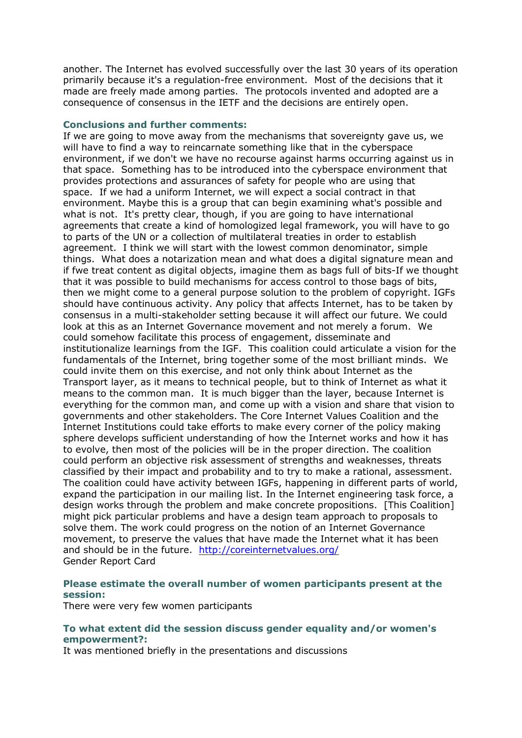another. The Internet has evolved successfully over the last 30 years of its operation primarily because it's a regulation-free environment. Most of the decisions that it made are freely made among parties. The protocols invented and adopted are a consequence of consensus in the IETF and the decisions are entirely open.

#### **Conclusions and further comments:**

If we are going to move away from the mechanisms that sovereignty gave us, we will have to find a way to reincarnate something like that in the cyberspace environment, if we don't we have no recourse against harms occurring against us in that space. Something has to be introduced into the cyberspace environment that provides protections and assurances of safety for people who are using that space. If we had a uniform Internet, we will expect a social contract in that environment. Maybe this is a group that can begin examining what's possible and what is not. It's pretty clear, though, if you are going to have international agreements that create a kind of homologized legal framework, you will have to go to parts of the UN or a collection of multilateral treaties in order to establish agreement. I think we will start with the lowest common denominator, simple things. What does a notarization mean and what does a digital signature mean and if fwe treat content as digital objects, imagine them as bags full of bits-If we thought that it was possible to build mechanisms for access control to those bags of bits, then we might come to a general purpose solution to the problem of copyright. IGFs should have continuous activity. Any policy that affects Internet, has to be taken by consensus in a multi-stakeholder setting because it will affect our future. We could look at this as an Internet Governance movement and not merely a forum. We could somehow facilitate this process of engagement, disseminate and institutionalize learnings from the IGF. This coalition could articulate a vision for the fundamentals of the Internet, bring together some of the most brilliant minds. We could invite them on this exercise, and not only think about Internet as the Transport layer, as it means to technical people, but to think of Internet as what it means to the common man. It is much bigger than the layer, because Internet is everything for the common man, and come up with a vision and share that vision to governments and other stakeholders. The Core Internet Values Coalition and the Internet Institutions could take efforts to make every corner of the policy making sphere develops sufficient understanding of how the Internet works and how it has to evolve, then most of the policies will be in the proper direction. The coalition could perform an objective risk assessment of strengths and weaknesses, threats classified by their impact and probability and to try to make a rational, assessment. The coalition could have activity between IGFs, happening in different parts of world, expand the participation in our mailing list. In the Internet engineering task force, a design works through the problem and make concrete propositions. [This Coalition] might pick particular problems and have a design team approach to proposals to solve them. The work could progress on the notion of an Internet Governance movement, to preserve the values that have made the Internet what it has been and should be in the future. <http://coreinternetvalues.org/> Gender Report Card

## **Please estimate the overall number of women participants present at the session:**

There were very few women participants

## **To what extent did the session discuss gender equality and/or women's empowerment?:**

It was mentioned briefly in the presentations and discussions